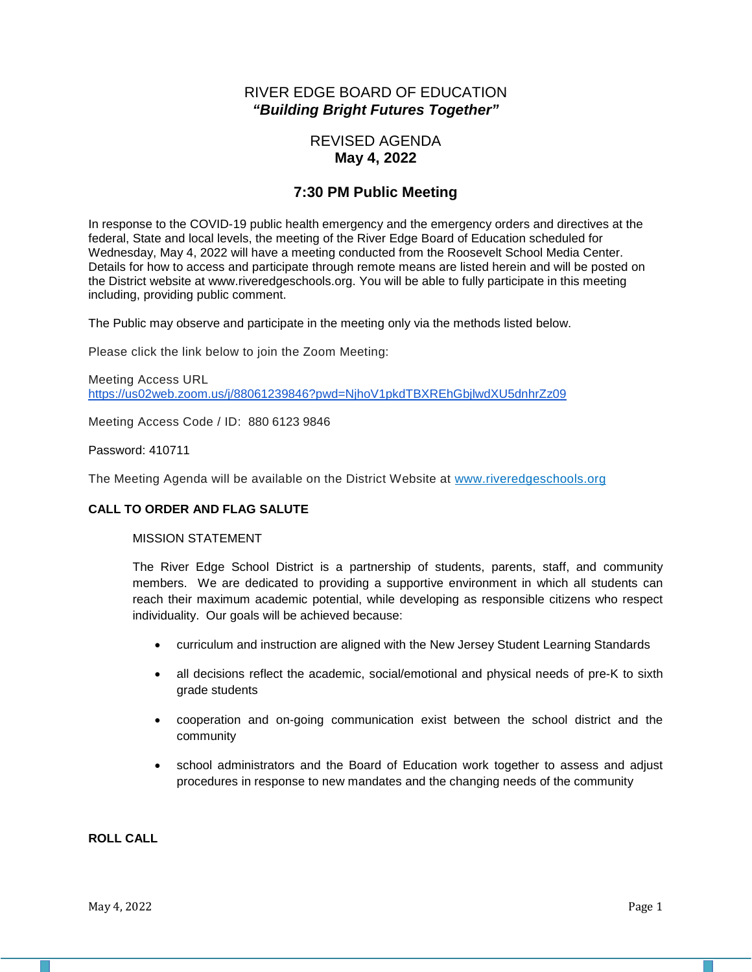# RIVER EDGE BOARD OF EDUCATION *"Building Bright Futures Together"*

# REVISED AGENDA **May 4, 2022**

# **7:30 PM Public Meeting**

In response to the COVID-19 public health emergency and the emergency orders and directives at the federal, State and local levels, the meeting of the River Edge Board of Education scheduled for Wednesday, May 4, 2022 will have a meeting conducted from the Roosevelt School Media Center. Details for how to access and participate through remote means are listed herein and will be posted on the District website at www.riveredgeschools.org. You will be able to fully participate in this meeting including, providing public comment.

The Public may observe and participate in the meeting only via the methods listed below.

Please click the link below to join the Zoom Meeting:

Meeting Access URL <https://us02web.zoom.us/j/88061239846?pwd=NjhoV1pkdTBXREhGbjlwdXU5dnhrZz09>

Meeting Access Code / ID: 880 6123 9846

Password: 410711

The Meeting Agenda will be available on the District Website at www[.riveredgeschools.org](http://riveredgeschools.org/)

#### **CALL TO ORDER AND FLAG SALUTE**

#### MISSION STATEMENT

The River Edge School District is a partnership of students, parents, staff, and community members. We are dedicated to providing a supportive environment in which all students can reach their maximum academic potential, while developing as responsible citizens who respect individuality. Our goals will be achieved because:

- curriculum and instruction are aligned with the New Jersey Student Learning Standards
- all decisions reflect the academic, social/emotional and physical needs of pre-K to sixth grade students
- cooperation and on-going communication exist between the school district and the community
- school administrators and the Board of Education work together to assess and adjust procedures in response to new mandates and the changing needs of the community

## **ROLL CALL**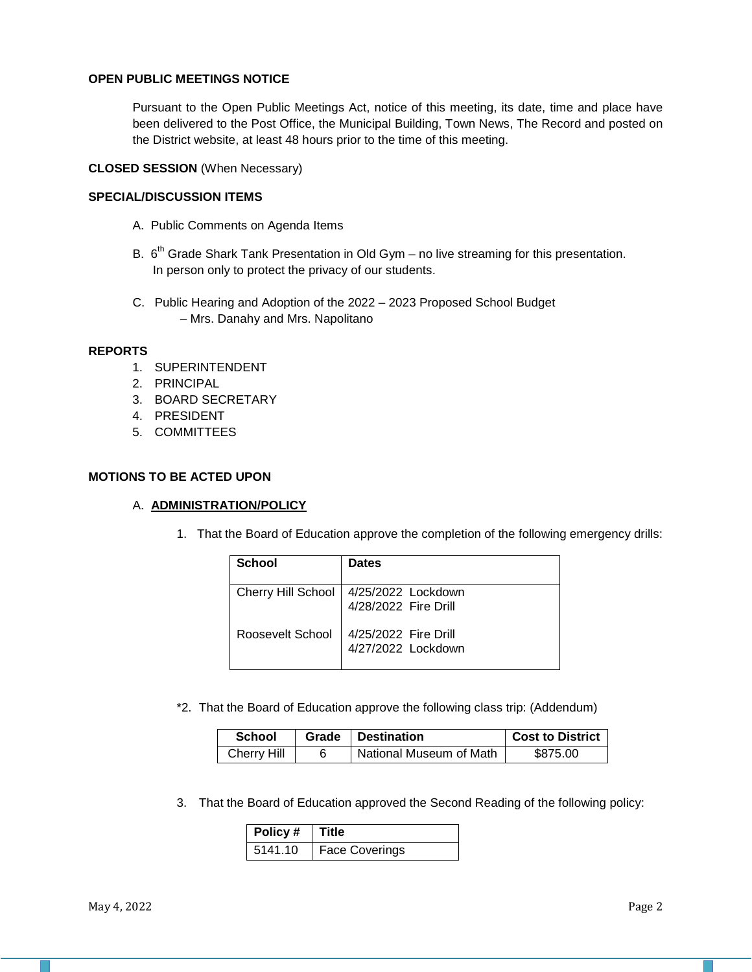### **OPEN PUBLIC MEETINGS NOTICE**

Pursuant to the Open Public Meetings Act, notice of this meeting, its date, time and place have been delivered to the Post Office, the Municipal Building, Town News, The Record and posted on the District website, at least 48 hours prior to the time of this meeting.

# **CLOSED SESSION** (When Necessary)

## **SPECIAL/DISCUSSION ITEMS**

- A. Public Comments on Agenda Items
- B.  $6<sup>th</sup>$  Grade Shark Tank Presentation in Old Gym no live streaming for this presentation. In person only to protect the privacy of our students.
- C. Public Hearing and Adoption of the 2022 2023 Proposed School Budget – Mrs. Danahy and Mrs. Napolitano

#### **REPORTS**

- 1. SUPERINTENDENT
- 2. PRINCIPAL
- 3. BOARD SECRETARY
- 4. PRESIDENT
- 5. COMMITTEES

#### **MOTIONS TO BE ACTED UPON**

#### A. **ADMINISTRATION/POLICY**

1. That the Board of Education approve the completion of the following emergency drills:

| School                    | <b>Dates</b>                               |
|---------------------------|--------------------------------------------|
| <b>Cherry Hill School</b> | 4/25/2022 Lockdown<br>4/28/2022 Fire Drill |
| Roosevelt School          | 4/25/2022 Fire Drill<br>4/27/2022 Lockdown |

\*2. That the Board of Education approve the following class trip: (Addendum)

| <b>School</b> | Grade   Destination     | <b>Cost to District</b> |
|---------------|-------------------------|-------------------------|
| Cherry Hill   | National Museum of Math | \$875.00                |

3. That the Board of Education approved the Second Reading of the following policy:

| $\overline{\phantom{a}}$ Policy # | ∣ Title               |
|-----------------------------------|-----------------------|
| 5141.10                           | <b>Face Coverings</b> |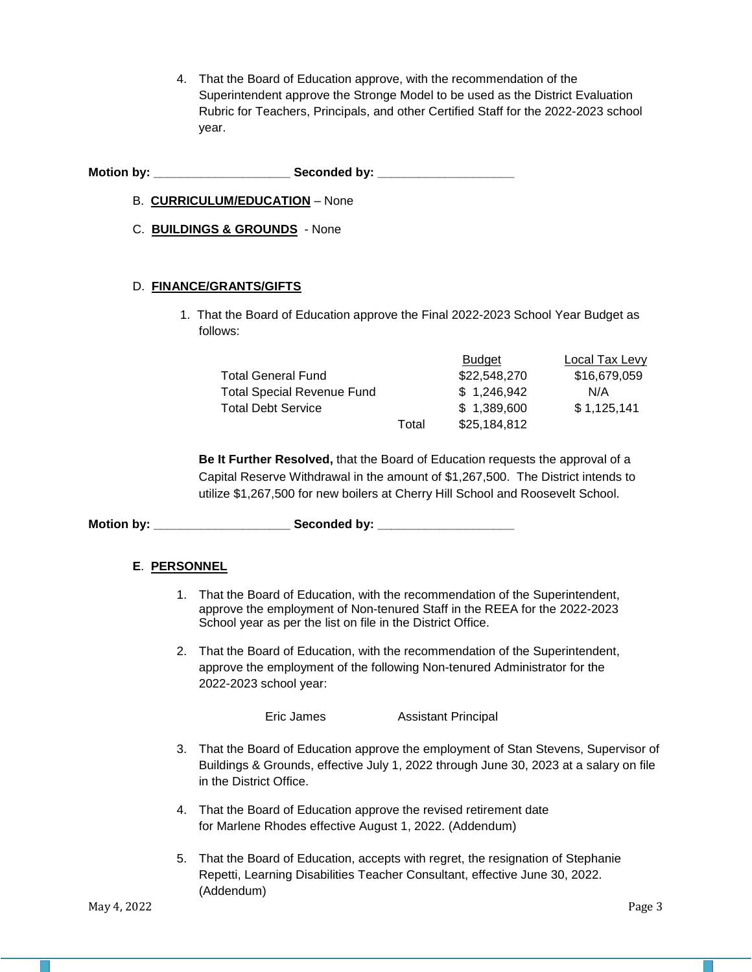4. That the Board of Education approve, with the recommendation of the Superintendent approve the Stronge Model to be used as the District Evaluation Rubric for Teachers, Principals, and other Certified Staff for the 2022-2023 school year.

Motion by: **Example 20** Seconded by:

- B. **CURRICULUM/EDUCATION** None
- C. **BUILDINGS & GROUNDS** None

## D. **FINANCE/GRANTS/GIFTS**

1. That the Board of Education approve the Final 2022-2023 School Year Budget as follows:

|                                   |       | <b>Budget</b> | Local Tax Levy |
|-----------------------------------|-------|---------------|----------------|
| <b>Total General Fund</b>         |       | \$22,548,270  | \$16,679,059   |
| <b>Total Special Revenue Fund</b> |       | \$1.246.942   | N/A            |
| <b>Total Debt Service</b>         |       | \$1.389,600   | \$1,125,141    |
|                                   | Total | \$25,184,812  |                |

**Be It Further Resolved,** that the Board of Education requests the approval of a Capital Reserve Withdrawal in the amount of \$1,267,500. The District intends to utilize \$1,267,500 for new boilers at Cherry Hill School and Roosevelt School.

Motion by: **Example 20 Seconded by:** Seconded by:

# **E**. **PERSONNEL**

- 1. That the Board of Education, with the recommendation of the Superintendent, approve the employment of Non-tenured Staff in the REEA for the 2022-2023 School year as per the list on file in the District Office.
- 2. That the Board of Education, with the recommendation of the Superintendent, approve the employment of the following Non-tenured Administrator for the 2022-2023 school year:

Eric James Assistant Principal

- 3. That the Board of Education approve the employment of Stan Stevens, Supervisor of Buildings & Grounds, effective July 1, 2022 through June 30, 2023 at a salary on file in the District Office.
- 4. That the Board of Education approve the revised retirement date for Marlene Rhodes effective August 1, 2022. (Addendum)
- 5. That the Board of Education, accepts with regret, the resignation of Stephanie Repetti, Learning Disabilities Teacher Consultant, effective June 30, 2022. (Addendum)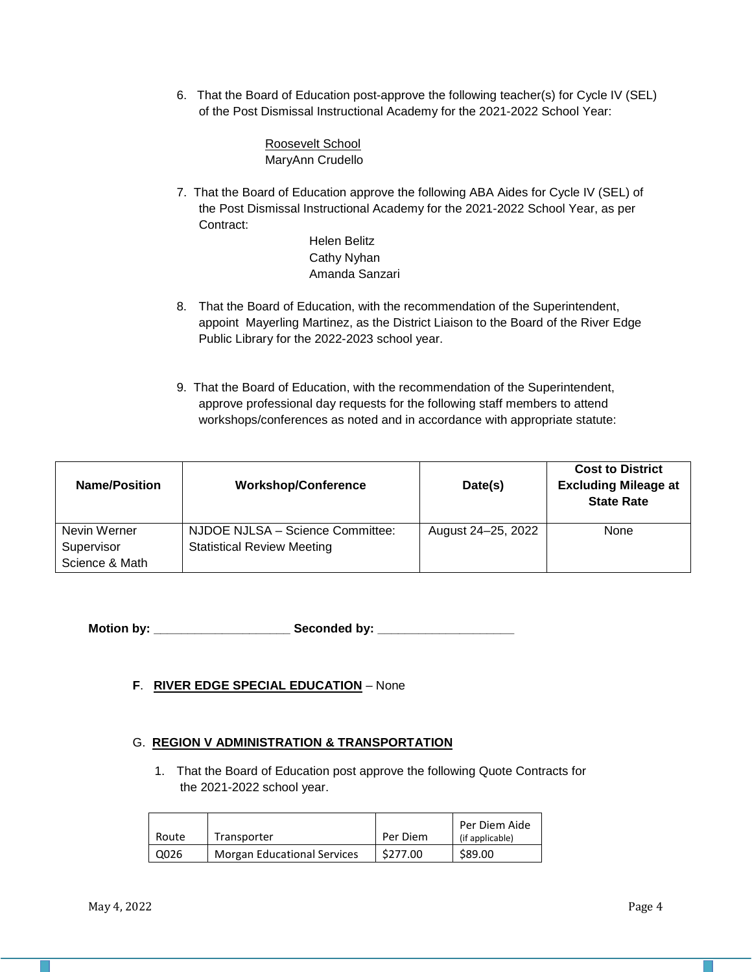6. That the Board of Education post-approve the following teacher(s) for Cycle IV (SEL) of the Post Dismissal Instructional Academy for the 2021-2022 School Year:

> Roosevelt School MaryAnn Crudello

7. That the Board of Education approve the following ABA Aides for Cycle IV (SEL) of the Post Dismissal Instructional Academy for the 2021-2022 School Year, as per Contract:

> Helen Belitz Cathy Nyhan Amanda Sanzari

- 8. That the Board of Education, with the recommendation of the Superintendent, appoint Mayerling Martinez, as the District Liaison to the Board of the River Edge Public Library for the 2022-2023 school year.
- 9. That the Board of Education, with the recommendation of the Superintendent, approve professional day requests for the following staff members to attend workshops/conferences as noted and in accordance with appropriate statute:

| <b>Name/Position</b> | <b>Workshop/Conference</b>        | Date(s)            | <b>Cost to District</b><br><b>Excluding Mileage at</b><br><b>State Rate</b> |
|----------------------|-----------------------------------|--------------------|-----------------------------------------------------------------------------|
| Nevin Werner         | NJDOE NJLSA - Science Committee:  | August 24-25, 2022 | None                                                                        |
| Supervisor           | <b>Statistical Review Meeting</b> |                    |                                                                             |
| Science & Math       |                                   |                    |                                                                             |

**Motion by: \_\_\_\_\_\_\_\_\_\_\_\_\_\_\_\_\_\_\_\_ Seconded by: \_\_\_\_\_\_\_\_\_\_\_\_\_\_\_\_\_\_\_\_**

**F**. **RIVER EDGE SPECIAL EDUCATION** – None

# G. **REGION V ADMINISTRATION & TRANSPORTATION**

1. That the Board of Education post approve the following Quote Contracts for the 2021-2022 school year.

| Route | Transporter                        | Per Diem | Per Diem Aide<br>(if applicable) |
|-------|------------------------------------|----------|----------------------------------|
| Q026  | <b>Morgan Educational Services</b> | \$277.00 | \$89.00                          |